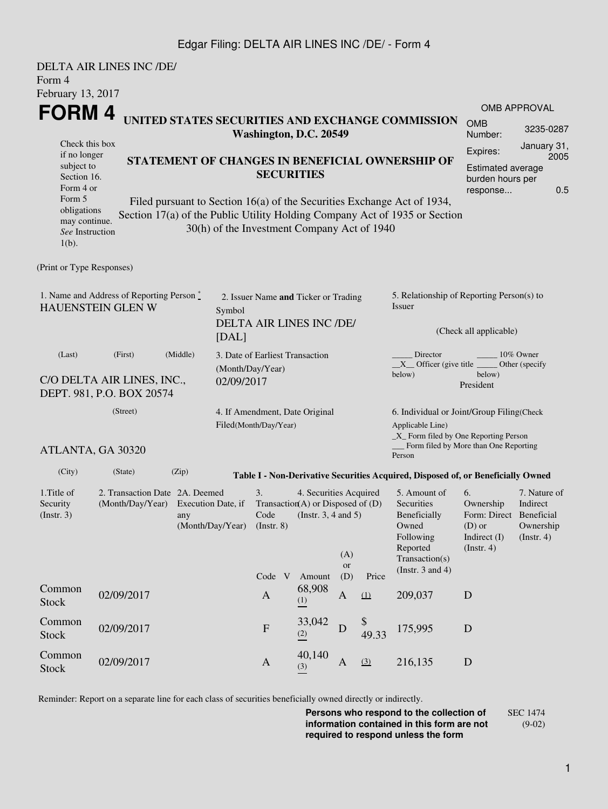### Edgar Filing: DELTA AIR LINES INC /DE/ - Form 4

|                                                                                                                                                   | DELTA AIR LINES INC /DE/ |                                                                                                                                                                                                          |                                                                                     |                                                                                                    |                                                                                                          |                         |                       |                                                                                                                                                              |                                                                                      |                                                      |  |
|---------------------------------------------------------------------------------------------------------------------------------------------------|--------------------------|----------------------------------------------------------------------------------------------------------------------------------------------------------------------------------------------------------|-------------------------------------------------------------------------------------|----------------------------------------------------------------------------------------------------|----------------------------------------------------------------------------------------------------------|-------------------------|-----------------------|--------------------------------------------------------------------------------------------------------------------------------------------------------------|--------------------------------------------------------------------------------------|------------------------------------------------------|--|
| Form 4<br>February 13, 2017                                                                                                                       |                          |                                                                                                                                                                                                          |                                                                                     |                                                                                                    |                                                                                                          |                         |                       |                                                                                                                                                              |                                                                                      |                                                      |  |
|                                                                                                                                                   |                          |                                                                                                                                                                                                          |                                                                                     |                                                                                                    |                                                                                                          |                         |                       |                                                                                                                                                              |                                                                                      | OMB APPROVAL                                         |  |
| <b>FORM4</b>                                                                                                                                      |                          | UNITED STATES SECURITIES AND EXCHANGE COMMISSION<br>Washington, D.C. 20549                                                                                                                               |                                                                                     |                                                                                                    |                                                                                                          |                         | <b>OMB</b><br>Number: | 3235-0287                                                                                                                                                    |                                                                                      |                                                      |  |
| Check this box<br>if no longer<br>subject to<br>Section 16.<br>Form 4 or<br>Form 5<br>obligations<br>may continue.<br>See Instruction<br>$1(b)$ . |                          | STATEMENT OF CHANGES IN BENEFICIAL OWNERSHIP OF<br>Filed pursuant to Section 16(a) of the Securities Exchange Act of 1934,<br>Section 17(a) of the Public Utility Holding Company Act of 1935 or Section | 30(h) of the Investment Company Act of 1940                                         | January 31,<br>Expires:<br>2005<br><b>Estimated average</b><br>burden hours per<br>0.5<br>response |                                                                                                          |                         |                       |                                                                                                                                                              |                                                                                      |                                                      |  |
| (Print or Type Responses)                                                                                                                         |                          |                                                                                                                                                                                                          |                                                                                     |                                                                                                    |                                                                                                          |                         |                       |                                                                                                                                                              |                                                                                      |                                                      |  |
| 1. Name and Address of Reporting Person $\stackrel{*}{\mathbb{L}}$<br><b>HAUENSTEIN GLEN W</b>                                                    |                          |                                                                                                                                                                                                          | 2. Issuer Name and Ticker or Trading<br>Symbol<br>DELTA AIR LINES INC /DE/<br>[DAL] |                                                                                                    |                                                                                                          |                         |                       | 5. Relationship of Reporting Person(s) to<br>Issuer<br>(Check all applicable)                                                                                |                                                                                      |                                                      |  |
| (Middle)<br>(Last)<br>(First)<br>C/O DELTA AIR LINES, INC.,<br>DEPT. 981, P.O. BOX 20574                                                          |                          |                                                                                                                                                                                                          | 3. Date of Earliest Transaction<br>(Month/Day/Year)<br>02/09/2017                   |                                                                                                    |                                                                                                          |                         |                       | Director<br>10% Owner<br>$X$ Officer (give title $\frac{1}{1 + 1}$<br>Other (specify<br>below)<br>below)<br>President                                        |                                                                                      |                                                      |  |
| (Street)<br>ATLANTA, GA 30320                                                                                                                     |                          |                                                                                                                                                                                                          | 4. If Amendment, Date Original<br>Filed(Month/Day/Year)                             |                                                                                                    |                                                                                                          |                         |                       | 6. Individual or Joint/Group Filing(Check<br>Applicable Line)<br>$\_X$ Form filed by One Reporting Person<br>Form filed by More than One Reporting<br>Person |                                                                                      |                                                      |  |
| (City)                                                                                                                                            | (State)                  | (Zip)                                                                                                                                                                                                    |                                                                                     |                                                                                                    |                                                                                                          |                         |                       | Table I - Non-Derivative Securities Acquired, Disposed of, or Beneficially Owned                                                                             |                                                                                      |                                                      |  |
| 1. Title of<br>Security<br>(Insert. 3)                                                                                                            |                          | 2. Transaction Date 2A. Deemed<br>(Month/Day/Year) Execution Date, if<br>any<br>(Month/Day/Year)                                                                                                         |                                                                                     |                                                                                                    | 4. Securities Acquired<br>Transaction(A) or Disposed of $(D)$<br>Code (Instr. $3, 4$ and $5$ )<br>Amount | (A)<br><b>or</b><br>(D) | Price                 | 5. Amount of<br>Securities<br>Beneficially<br>Owned<br>Following<br>Reported<br>Transaction(s)<br>(Instr. $3$ and $4$ )                                      | 6.<br>Ownership<br>Form: Direct Beneficial<br>$(D)$ or<br>Indirect (I)<br>(Instr. 4) | 7. Nature of<br>Indirect<br>Ownership<br>(Insert. 4) |  |
| Common<br><b>Stock</b>                                                                                                                            | 02/09/2017               |                                                                                                                                                                                                          |                                                                                     | Code V<br>$\mathbf{A}$                                                                             | 68,908<br>(1)                                                                                            | A                       | $\Omega$              | 209,037                                                                                                                                                      | D                                                                                    |                                                      |  |
| Common<br><b>Stock</b>                                                                                                                            | 02/09/2017               |                                                                                                                                                                                                          |                                                                                     | $\mathbf F$                                                                                        | 33,042<br>(2)                                                                                            | D                       | \$<br>49.33           | 175,995                                                                                                                                                      | D                                                                                    |                                                      |  |
| Common<br><b>Stock</b>                                                                                                                            | 02/09/2017               |                                                                                                                                                                                                          |                                                                                     | $\mathbf{A}$                                                                                       | 40,140<br>(3)                                                                                            | A                       | (3)                   | 216,135                                                                                                                                                      | $\mathbf D$                                                                          |                                                      |  |

Reminder: Report on a separate line for each class of securities beneficially owned directly or indirectly.

**Persons who respond to the collection of information contained in this form are not required to respond unless the form** SEC 1474 (9-02)